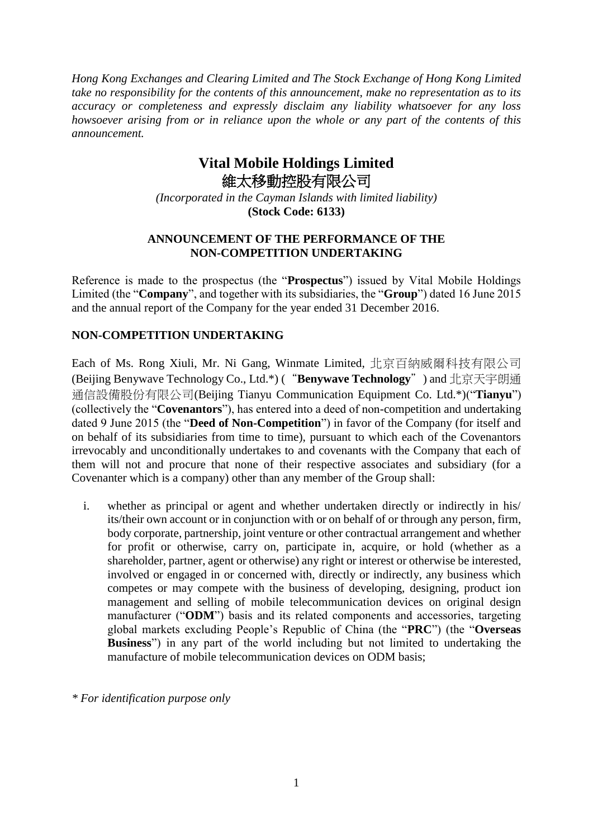*Hong Kong Exchanges and Clearing Limited and The Stock Exchange of Hong Kong Limited take no responsibility for the contents of this announcement, make no representation as to its accuracy or completeness and expressly disclaim any liability whatsoever for any loss howsoever arising from or in reliance upon the whole or any part of the contents of this announcement.*

## **Vital Mobile Holdings Limited** 維太移動控股有限公司

*(Incorporated in the Cayman Islands with limited liability)* **(Stock Code: 6133)**

## **ANNOUNCEMENT OF THE PERFORMANCE OF THE NON-COMPETITION UNDERTAKING**

Reference is made to the prospectus (the "**Prospectus**") issued by Vital Mobile Holdings Limited (the "**Company**", and together with its subsidiaries, the "**Group**") dated 16 June 2015 and the annual report of the Company for the year ended 31 December 2016.

## **NON-COMPETITION UNDERTAKING**

Each of Ms. Rong Xiuli, Mr. Ni Gang, Winmate Limited, 北京百納威爾科技有限公司 (Beijing Benywave Technology Co., Ltd.\*) ("**Benywave Technology**") and 北京天宇朗通 通信設備股份有限公司(Beijing Tianyu Communication Equipment Co. Ltd.\*)("**Tianyu**") (collectively the "**Covenantors**"), has entered into a deed of non-competition and undertaking dated 9 June 2015 (the "**Deed of Non-Competition**") in favor of the Company (for itself and on behalf of its subsidiaries from time to time), pursuant to which each of the Covenantors irrevocably and unconditionally undertakes to and covenants with the Company that each of them will not and procure that none of their respective associates and subsidiary (for a Covenanter which is a company) other than any member of the Group shall:

i. whether as principal or agent and whether undertaken directly or indirectly in his/ its/their own account or in conjunction with or on behalf of or through any person, firm, body corporate, partnership, joint venture or other contractual arrangement and whether for profit or otherwise, carry on, participate in, acquire, or hold (whether as a shareholder, partner, agent or otherwise) any right or interest or otherwise be interested, involved or engaged in or concerned with, directly or indirectly, any business which competes or may compete with the business of developing, designing, product ion management and selling of mobile telecommunication devices on original design manufacturer ("**ODM**") basis and its related components and accessories, targeting global markets excluding People's Republic of China (the "**PRC**") (the "**Overseas Business**") in any part of the world including but not limited to undertaking the manufacture of mobile telecommunication devices on ODM basis;

*\* For identification purpose only*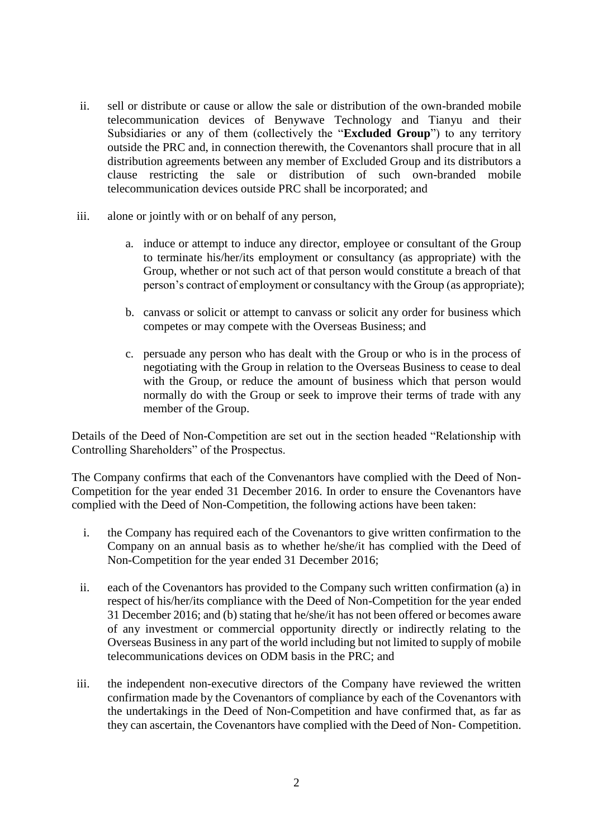- ii. sell or distribute or cause or allow the sale or distribution of the own-branded mobile telecommunication devices of Benywave Technology and Tianyu and their Subsidiaries or any of them (collectively the "**Excluded Group**") to any territory outside the PRC and, in connection therewith, the Covenantors shall procure that in all distribution agreements between any member of Excluded Group and its distributors a clause restricting the sale or distribution of such own-branded mobile telecommunication devices outside PRC shall be incorporated; and
- iii. alone or jointly with or on behalf of any person,
	- a. induce or attempt to induce any director, employee or consultant of the Group to terminate his/her/its employment or consultancy (as appropriate) with the Group, whether or not such act of that person would constitute a breach of that person's contract of employment or consultancy with the Group (as appropriate);
	- b. canvass or solicit or attempt to canvass or solicit any order for business which competes or may compete with the Overseas Business; and
	- c. persuade any person who has dealt with the Group or who is in the process of negotiating with the Group in relation to the Overseas Business to cease to deal with the Group, or reduce the amount of business which that person would normally do with the Group or seek to improve their terms of trade with any member of the Group.

Details of the Deed of Non-Competition are set out in the section headed "Relationship with Controlling Shareholders" of the Prospectus.

The Company confirms that each of the Convenantors have complied with the Deed of Non-Competition for the year ended 31 December 2016. In order to ensure the Covenantors have complied with the Deed of Non-Competition, the following actions have been taken:

- i. the Company has required each of the Covenantors to give written confirmation to the Company on an annual basis as to whether he/she/it has complied with the Deed of Non-Competition for the year ended 31 December 2016;
- ii. each of the Covenantors has provided to the Company such written confirmation (a) in respect of his/her/its compliance with the Deed of Non-Competition for the year ended 31 December 2016; and (b) stating that he/she/it has not been offered or becomes aware of any investment or commercial opportunity directly or indirectly relating to the Overseas Business in any part of the world including but not limited to supply of mobile telecommunications devices on ODM basis in the PRC; and
- iii. the independent non-executive directors of the Company have reviewed the written confirmation made by the Covenantors of compliance by each of the Covenantors with the undertakings in the Deed of Non-Competition and have confirmed that, as far as they can ascertain, the Covenantors have complied with the Deed of Non- Competition.